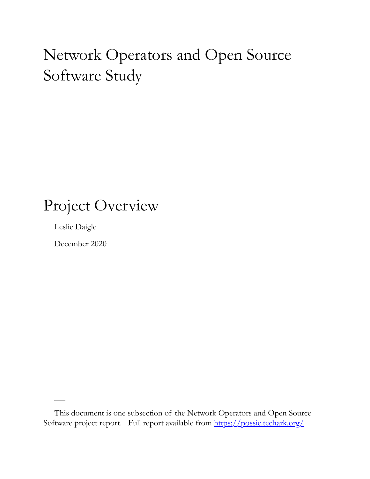# Network Operators and Open Source Software Study

### Project Overview

Leslie Daigle

December 2020

This document is one subsection of the Network Operators and Open Source Software project report. Full report available from<https://possie.techark.org/>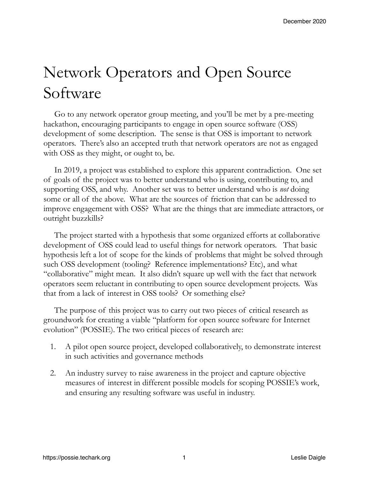# Network Operators and Open Source Software

Go to any network operator group meeting, and you'll be met by a pre-meeting hackathon, encouraging participants to engage in open source software (OSS) development of some description. The sense is that OSS is important to network operators. There's also an accepted truth that network operators are not as engaged with OSS as they might, or ought to, be.

In 2019, a project was established to explore this apparent contradiction. One set of goals of the project was to better understand who is using, contributing to, and supporting OSS, and why. Another set was to better understand who is *not* doing some or all of the above. What are the sources of friction that can be addressed to improve engagement with OSS? What are the things that are immediate attractors, or outright buzzkills?

The project started with a hypothesis that some organized efforts at collaborative development of OSS could lead to useful things for network operators. That basic hypothesis left a lot of scope for the kinds of problems that might be solved through such OSS development (tooling? Reference implementations? Etc), and what "collaborative" might mean. It also didn't square up well with the fact that network operators seem reluctant in contributing to open source development projects. Was that from a lack of interest in OSS tools? Or something else?

The purpose of this project was to carry out two pieces of critical research as groundwork for creating a viable "platform for open source software for Internet evolution" (POSSIE). The two critical pieces of research are:

- 1. A pilot open source project, developed collaboratively, to demonstrate interest in such activities and governance methods
- 2. An industry survey to raise awareness in the project and capture objective measures of interest in different possible models for scoping POSSIE's work, and ensuring any resulting software was useful in industry.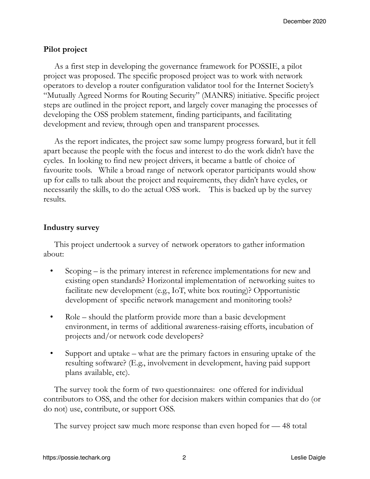### **Pilot project**

As a first step in developing the governance framework for POSSIE, a pilot project was proposed. The specific proposed project was to work with network operators to develop a router configuration validator tool for the Internet Society's "Mutually Agreed Norms for Routing Security" (MANRS) initiative. Specific project steps are outlined in the project report, and largely cover managing the processes of developing the OSS problem statement, finding participants, and facilitating development and review, through open and transparent processes.

As the report indicates, the project saw some lumpy progress forward, but it fell apart because the people with the focus and interest to do the work didn't have the cycles. In looking to find new project drivers, it became a battle of choice of favourite tools. While a broad range of network operator participants would show up for calls to talk about the project and requirements, they didn't have cycles, or necessarily the skills, to do the actual OSS work. This is backed up by the survey results.

### **Industry survey**

This project undertook a survey of network operators to gather information about:

- Scoping is the primary interest in reference implementations for new and existing open standards? Horizontal implementation of networking suites to facilitate new development (e.g., IoT, white box routing)? Opportunistic development of specific network management and monitoring tools?
- Role should the platform provide more than a basic development environment, in terms of additional awareness-raising efforts, incubation of projects and/or network code developers?
- Support and uptake what are the primary factors in ensuring uptake of the resulting software? (E.g., involvement in development, having paid support plans available, etc).

The survey took the form of two questionnaires: one offered for individual contributors to OSS, and the other for decision makers within companies that do (or do not) use, contribute, or support OSS.

The survey project saw much more response than even hoped for — 48 total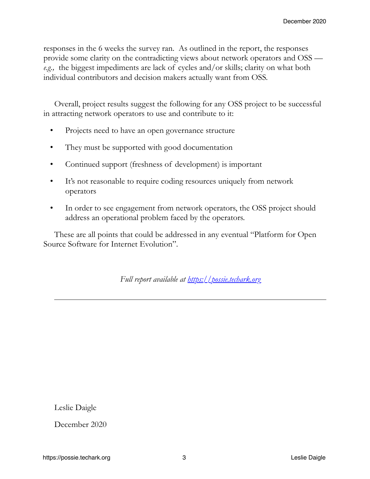responses in the 6 weeks the survey ran. As outlined in the report, the responses provide some clarity on the contradicting views about network operators and OSS *e.g.,* the biggest impediments are lack of cycles and/or skills; clarity on what both individual contributors and decision makers actually want from OSS.

Overall, project results suggest the following for any OSS project to be successful in attracting network operators to use and contribute to it:

- Projects need to have an open governance structure
- They must be supported with good documentation
- Continued support (freshness of development) is important
- It's not reasonable to require coding resources uniquely from network operators
- In order to see engagement from network operators, the OSS project should address an operational problem faced by the operators.

These are all points that could be addressed in any eventual "Platform for Open Source Software for Internet Evolution".

*Full report available at<https://possie.techark.org>*

Leslie Daigle

December 2020